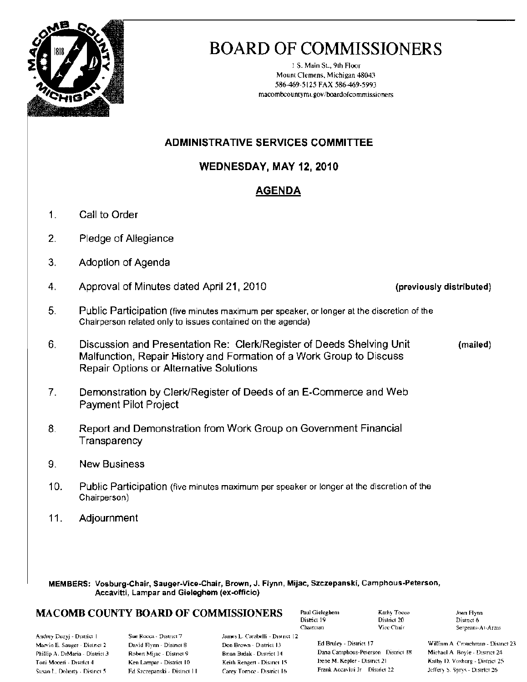

# **BOARD OF COMMISSIONERS**

1 S. Main St., 9th Floor Mount Clemens, Michigan 48043 586-469-5125 FAX 586-469-5993 macombcountymi.gov/boardofcommissioners

## **ADMINISTRATIVE SERVICES COMMITTEE**

### WEDNESDAY, MAY 12, 2010

## **AGENDA**

- $\mathbf{1}$ Call to Order
- $2.$ Pledge of Allegiance
- $3<sub>1</sub>$ Adoption of Agenda
- $\overline{4}$ . Approval of Minutes dated April 21, 2010
- 5. Public Participation (five minutes maximum per speaker, or longer at the discretion of the Chairperson related only to issues contained on the agenda)
- 6. Discussion and Presentation Re: Clerk/Register of Deeds Shelving Unit Malfunction, Repair History and Formation of a Work Group to Discuss **Repair Options or Alternative Solutions**
- Demonstration by Clerk/Register of Deeds of an E-Commerce and Web  $7<sub>1</sub>$ **Payment Pilot Project**
- 8. Report and Demonstration from Work Group on Government Financial Transparency
- 9. **New Business**
- $10.$ Public Participation (five minutes maximum per speaker or longer at the discretion of the Chairperson)
- $11.$ Adjournment

MEMBERS: Vosburg-Chair, Sauger-Vice-Chair, Brown, J. Flynn, Mijac, Szczepanski, Camphous-Peterson, Accavitti, Lampar and Gieleghem (ex-officio)

#### **MACOMB COUNTY BOARD OF COMMISSIONERS**

Paul Gieleghem District 19 Chairman

Kathy Tocco District 20 Vice Chair

Joan Flynn District 6 Sergeant-At-Arms

Andrey Duzyj - District 1 Marvin E. Sauger - District 2 Phillip A. DiMaria - District 3 Toni Moceri - District 4 Susan L. Doherty - District 5

Sue Rocca - District 7 David Flynn - District 8 Robert Mijac - District 9 Ken Lampar - District 10 Ed Szczepanski - District 11

James L. Carabelli - District 12 Don Brown - District 13 Bnan Brdak - District 14 Keith Rengert - District 15 Carey Tornce - District 16

Ed Bruley - District 17 Dana Camphous-Peterson District 18 Irene M. Kenler - District 21 Frank Accavitti Jr District 22

William A. Crouchman - District 23 Michael A. Boyle - District 24 Kathy D. Vosburg - District 25 Jeffery S. Sprys - District 26

(previously distributed)

(mailed)